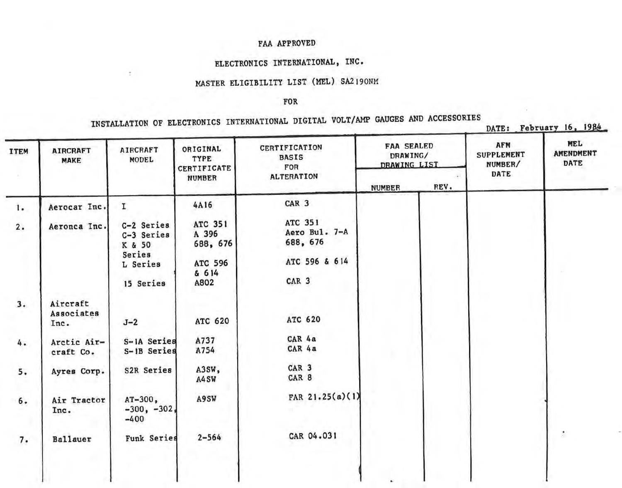# ELECTRONICS INTERNATIONAL, INC.

# MASTER ELIGIBILITY LIST (MEL) SA2190NM

 $\mathbb{R}$ 

#### FOR

| <b>ITEM</b> | <b>AIRCRAFT</b><br>MAKE        | <b>AIRCRAFT</b><br>MODEL                                 | ORIGINAL<br>TYPE<br>CERTIFICATE                         | CERTIFICATION<br><b>BASIS</b><br>FOR                  | <b>FAA SEALED</b><br>DRAWING/<br>DRAWING LIST |      | <b>AFM</b><br><b>SUPPLEMENT</b><br>NUMBER/ | MEL<br><b>AMENDMENT</b><br><b>DATE</b> |
|-------------|--------------------------------|----------------------------------------------------------|---------------------------------------------------------|-------------------------------------------------------|-----------------------------------------------|------|--------------------------------------------|----------------------------------------|
|             |                                |                                                          | <b>NUMBER</b>                                           | <b>ALTERATION</b>                                     | <b>NUMBER</b>                                 | REV. | DATE                                       |                                        |
| <b>1.</b>   | Aerocar Inc.                   | I.                                                       | 4A16                                                    | CAR <sub>3</sub>                                      |                                               |      |                                            |                                        |
| 2.          | Aeronca Inc.                   | C-2 Series<br>C-3 Series<br>K & 50<br>Series<br>L Series | ATC 351<br>A 396<br>688, 676<br><b>ATC 596</b><br>& 614 | ATC 351<br>Aero Bul. 7-A<br>688, 676<br>ATC 596 & 614 |                                               |      |                                            |                                        |
|             |                                | 15 Series                                                | A802                                                    | CAR <sub>3</sub>                                      |                                               |      |                                            |                                        |
| 3.          | Aircraft<br>Associates<br>Inc. | $J-2$                                                    | ATC 620                                                 | <b>ATC 620</b>                                        |                                               |      |                                            |                                        |
| 4.          | Arctic Air-<br>craft Co.       | S-1A Series<br>S-1B Series                               | A737<br>A754                                            | CAR 4a<br>CAR 4a                                      |                                               |      |                                            |                                        |
| 5.          | Ayres Corp.                    | S2R Series                                               | A3SW,<br>A4SW                                           | CAR <sub>3</sub><br>CAR 8                             |                                               |      |                                            |                                        |
| 6.          | Air Tractor<br>Inc.            | $AT-300$ ,<br>$-300, -302,$<br>$-400$                    | A9SW                                                    | FAR $21.25(a)(1)$                                     |                                               |      |                                            |                                        |
| 7.          | Ballauer                       | Funk Series                                              | $2 - 564$                                               | CAR 04.031                                            |                                               |      |                                            | ž,                                     |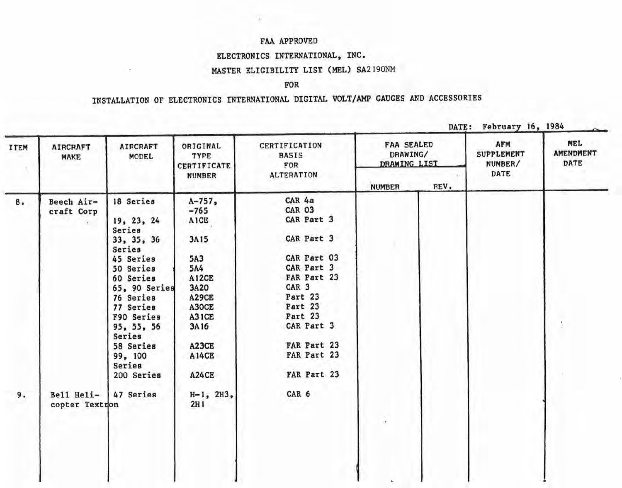### ELECTRONICS INTERNATIONAL, INC.

Ť.

### MASTER ELIGIBILITY LIST (MEL) SA2190NM

#### FOR

| <b>ITEM</b> | <b>AIRCRAFT</b><br><b>MAKE</b> | <b>AIRCRAFT</b><br>MODEL | ORIGINAL<br>TYPE<br>CERTIFICATE | CERTIFICATION<br><b>BASIS</b><br>FOR | <b>FAA SEALED</b><br>DRAWING/<br>DRAWING LIST |      | AFM<br><b>SUPPLEMENT</b><br>NUMBER/ | <b>MEL</b><br><b>AMENDMENT</b><br>DATE |
|-------------|--------------------------------|--------------------------|---------------------------------|--------------------------------------|-----------------------------------------------|------|-------------------------------------|----------------------------------------|
|             |                                |                          | <b>NUMBER</b>                   | <b>ALTERATION</b>                    | <b>NUMBER</b>                                 | REV. | DATE                                |                                        |
| 8.          | Beech Air-                     | 18 Series                | $A - 757$ ,                     | CAR 4a                               |                                               |      |                                     |                                        |
|             | craft Corp                     |                          | $-765$                          | <b>CAR 03</b>                        |                                               |      |                                     |                                        |
|             |                                | 19, 23, 24               | <b>AICE</b>                     | CAR Part 3                           |                                               |      |                                     |                                        |
|             |                                | Series<br>33, 35, 36     | 3A15                            | CAR Part 3                           |                                               |      |                                     |                                        |
|             |                                | Series                   |                                 |                                      |                                               |      |                                     |                                        |
|             |                                | 45 Series                | 5A3                             | CAR Part 03                          |                                               |      |                                     |                                        |
|             |                                | 50 Series                | 5A4                             | CAR Part 3                           |                                               |      |                                     |                                        |
|             |                                | 60 Series                | A12CE                           | FAR Part 23                          |                                               |      |                                     |                                        |
|             |                                | 65, 90 Series            | 3A20                            | CAR <sub>3</sub>                     |                                               |      |                                     |                                        |
|             |                                | 76 Series                | A29CE                           | Part 23                              |                                               |      |                                     |                                        |
|             |                                | 77 Series                | A30CE                           | Part 23                              |                                               |      |                                     |                                        |
|             |                                | F90 Series               | A31CE                           | Part 23                              |                                               |      |                                     |                                        |
|             |                                | 95, 55, 56<br>Series     | 3A16                            | CAR Part 3                           |                                               |      |                                     |                                        |
|             |                                | 58 Series                | A23CE                           | FAR Part 23                          |                                               |      |                                     |                                        |
|             |                                | 99, 100<br>Series        | <b>A14CE</b>                    | FAR Part 23                          |                                               |      |                                     |                                        |
|             |                                | 200 Series               | <b>A24CE</b>                    | FAR Part 23                          |                                               |      |                                     |                                        |
| 9.          | Bell Heli-                     | 47 Series                | $H-1$ , $2H3$ ,                 | CAR 6                                |                                               |      |                                     |                                        |
|             | copter Textron                 |                          | 2H1                             |                                      |                                               |      |                                     |                                        |
|             |                                |                          |                                 |                                      | i.                                            |      |                                     |                                        |
|             |                                |                          |                                 |                                      |                                               |      |                                     |                                        |
|             |                                |                          |                                 |                                      |                                               |      |                                     |                                        |
|             |                                |                          |                                 |                                      |                                               |      |                                     |                                        |
|             |                                |                          |                                 |                                      |                                               |      |                                     |                                        |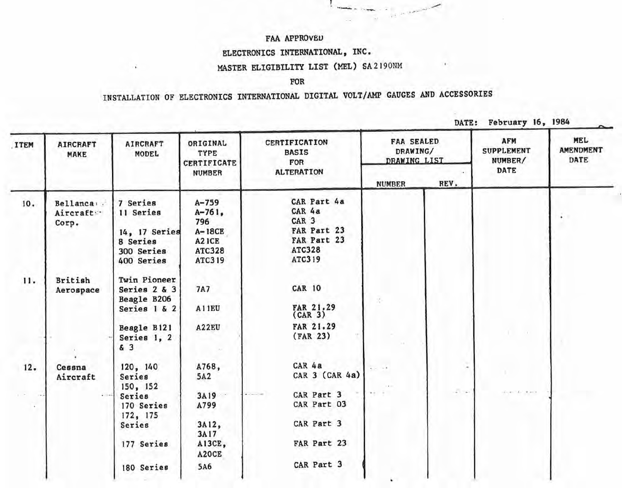# ELECTRONICS INTERNATIONAL, INC.

# MASTER ELIGIBILITY LIST (MEL) SA 2190NM

### FOR

# INSTALLATION OF ELECTRONICS INTERNATIONAL DIGITAL VOLT/AMP GAUGES AND ACCESSORIES

DATE: February 16, 1984

| <b>ITEM</b>        | <b>AIRCRAFT</b><br>MAKE          | <b>AIRCRAFT</b><br><b>MODEL</b>                                                | ORIGINAL<br>TYPE<br><b>CERTIFICATE</b>                                       | CERTIFICATION<br><b>BASIS</b><br>FOR                                                               | <b>FAA SEALED</b><br>DRAWING/<br>DRAWING LIST |                                   | <b>AFM</b><br><b>SUPPLEMENT</b><br>NUMBER/ | <b>MEL</b><br><b>AMENDMENT</b><br>DATE |
|--------------------|----------------------------------|--------------------------------------------------------------------------------|------------------------------------------------------------------------------|----------------------------------------------------------------------------------------------------|-----------------------------------------------|-----------------------------------|--------------------------------------------|----------------------------------------|
|                    |                                  |                                                                                | <b>NUMBER</b>                                                                | <b>ALTERATION</b>                                                                                  | <b>NUMBER</b>                                 | REV.                              | <b>DATE</b>                                |                                        |
| 10.                | Bellanca<br>Aircraft :-<br>Corp. | 7 Series<br>11 Series<br>14, 17 Series<br>8 Series<br>300 Series<br>400 Series | $A - 759$<br>$A-761,$<br>796<br>$A-18CE$<br>A2ICE<br><b>ATC328</b><br>ATC319 | CAR Part 4a<br>CAR 4a<br>CAR <sub>3</sub><br>FAR Part 23<br>FAR Part 23<br><b>ATC328</b><br>ATC319 |                                               |                                   |                                            |                                        |
| 11.                | British<br>Aerospace             | Twin Pioneer<br>Series 2 & 3<br>Beagle B206<br>Series 1 & 2<br>Beagle B121     | <b>7A7</b><br>A11EU<br>A22EU                                                 | <b>CAR 10</b><br>FAR 21.29<br>(CAR <sub>3</sub> )<br>FAR 21.29                                     |                                               |                                   |                                            |                                        |
|                    |                                  | Series 1, 2<br>&3                                                              |                                                                              | (FAR 23)                                                                                           |                                               |                                   |                                            |                                        |
| 12.                | Cessna<br>Aircraft               | 120, 140<br>Series<br>150, 152                                                 | A768,<br>5A2                                                                 | CAR 4a<br>CAR 3 (CAR 4a)                                                                           | $4 - 14$<br>in a                              |                                   |                                            |                                        |
| $\mathbf{r}$<br>v. | $\alpha = 0$                     | Series<br>170 Series<br>172, 175                                               | 3A19<br>A799                                                                 | CAR Part 3<br>CAR Part 03                                                                          | $\cdots$                                      | $\overline{a}$ , $\overline{a}$ , | For St. Aver                               |                                        |
|                    |                                  | Series<br>177 Series                                                           | $3A12$ ,<br>3A17<br>A13CE,<br>A2OCE                                          | CAR Part 3<br>FAR Part 23                                                                          |                                               |                                   |                                            |                                        |
|                    |                                  | 180 Series                                                                     | 5A6                                                                          | CAR Part 3                                                                                         |                                               |                                   |                                            |                                        |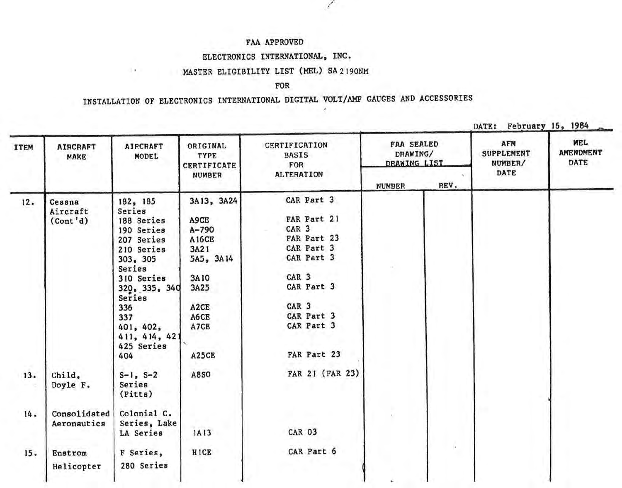#### ELECTRONICS INTERNATIONAL, INC.

### MASTER ELIGIBILITY LIST (MEL) SA2190NM

 $\rightarrow$ 

#### FOR

./

| ITEM | <b>AIRCRAFT</b><br>MAKE     | <b>AIRCRAFT</b><br>MODEL                 | ORIGINAL<br>TYPE<br><b>CERTIFICATE</b> | <b>CERTIFICATION</b><br><b>BASIS</b><br>FOR | <b>FAA SEALED</b><br>DRAWING/<br>DRAWING LIST |      | <b>AFM</b><br><b>SUPPLEMENT</b><br>NUMBER/ | <b>MEL</b><br><b>AMENDMENT</b><br>DATE |
|------|-----------------------------|------------------------------------------|----------------------------------------|---------------------------------------------|-----------------------------------------------|------|--------------------------------------------|----------------------------------------|
|      |                             |                                          | <b>NUMBER</b>                          | <b>ALTERATION</b>                           | <b>NUMBER</b>                                 | REV. | DATE                                       |                                        |
| 12.  | Cessna<br>Aircraft          | 182, 185<br>Series                       | 3A13, 3A24                             | CAR Part 3                                  |                                               |      |                                            |                                        |
|      | (Cont 'd)                   | 188 Series                               | A9CE                                   | FAR Part 21                                 |                                               |      |                                            |                                        |
|      |                             | 190 Series                               | $A - 790$                              | CAR <sub>3</sub>                            |                                               |      |                                            |                                        |
|      |                             | 207 Series                               | <b>A16CE</b>                           | FAR Part 23                                 |                                               |      |                                            |                                        |
|      |                             | 210 Series                               | 3A21                                   | CAR Part 3                                  |                                               |      |                                            |                                        |
|      |                             | 303, 305<br>Series                       | 5A5, 3A14                              | CAR Part 3                                  |                                               |      |                                            |                                        |
|      |                             | 310 Series                               | 3A10                                   | CAR <sub>3</sub>                            |                                               |      |                                            |                                        |
|      |                             | 320, 335, 340<br>Series                  | 3A25                                   | CAR Part 3                                  |                                               |      |                                            |                                        |
|      |                             | 336                                      | A2CE                                   | CAR <sub>3</sub>                            |                                               |      |                                            |                                        |
|      |                             | 337                                      | A6CE                                   | CAR Part 3                                  |                                               |      |                                            |                                        |
|      |                             | 401, 402,<br>411, 414, 421<br>425 Series | A7CE                                   | CAR Part 3                                  |                                               |      |                                            |                                        |
|      |                             | 404                                      | A25CE                                  | FAR Part 23                                 |                                               |      |                                            |                                        |
| 13.  | Child,<br>Doyle F.          | $S-1$ , $S-2$<br>Series<br>(Pitts)       | <b>A8SO</b>                            | FAR 21 (FAR 23)                             |                                               |      |                                            |                                        |
| 14.  | Consolidated<br>Aeronautics | Colonial C.<br>Series, Lake              |                                        |                                             |                                               |      |                                            |                                        |
|      |                             | LA Series                                | 1A13                                   | <b>CAR 03</b>                               |                                               |      |                                            |                                        |
| 15.  | Enstrom                     | F Series,                                | <b>HICE</b>                            | CAR Part 6                                  |                                               |      |                                            |                                        |
|      | Helicopter                  | 280 Series                               |                                        |                                             |                                               |      |                                            |                                        |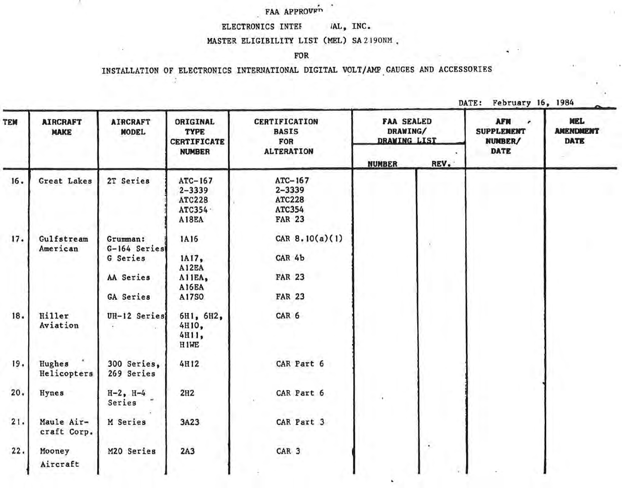# . FAA APPROVTm

w

# ELECTRONICS INTEF *IAL,* INC.

### MASTER ELIGIBILITY LIST (MEL) SA 2 190NM.

#### FOR

# INSTALLATION OF ELECTRONICS INTERNATIONAL DIGITAL VOLT/AMP GAUGES AND ACCESSORIES

DATE: February 16, 1984

TY.

| TEM | <b>AIRCRAFT</b><br><b>MAKE</b> | <b>AIRCRAFT</b><br><b>MODEL</b>      | ORIGINAL<br><b>TYPE</b><br><b>CERTIFICATE</b><br><b>NUMBER</b>        | <b>CERTIFICATION</b><br><b>BASIS</b><br>FOR<br><b>ALTERATION</b>  | <b>FAA SEALED</b><br>DRAWING/<br><b>DRAWING LIST</b> |      | <b>AFM</b><br><b>SUPPLEMENT</b><br>NUMBER/<br><b>DATE</b> |  | MEL<br><b>AMENDMENT</b><br><b>DATE</b> |
|-----|--------------------------------|--------------------------------------|-----------------------------------------------------------------------|-------------------------------------------------------------------|------------------------------------------------------|------|-----------------------------------------------------------|--|----------------------------------------|
|     |                                |                                      |                                                                       |                                                                   | <b>NUMBER</b>                                        | REV. |                                                           |  |                                        |
| 16. | Great Lakes                    | 2T Series                            | ATC-167<br>$2 - 3339$<br><b>ATC228</b><br>ATC354<br>A <sub>18EA</sub> | ATC-167<br>$2 - 3339$<br><b>ATC228</b><br>ATC354<br><b>FAR 23</b> |                                                      |      |                                                           |  |                                        |
| 17. | Gulfstream<br>American         | Grumman:<br>G-164 Series<br>G Series | 1A16<br>1A17,                                                         | CAR $8.10(a)(1)$<br>CAR 4b                                        |                                                      |      |                                                           |  |                                        |
|     |                                | AA Series<br><b>GA Series</b>        | A12EA<br>A11EA,<br><b>A16EA</b><br>A17S0                              | <b>FAR 23</b><br><b>FAR 23</b>                                    |                                                      |      |                                                           |  |                                        |
| 18. | Hiller<br>Aviation             | UH-12 Series                         | 6H1, 6H2,<br>4H10,<br>4H11,<br>H <sub>1</sub> WE                      | CAR 6                                                             |                                                      |      |                                                           |  |                                        |
| 19. | Hughes<br>Helicopters          | 300 Series,<br>269 Series            | 4H12                                                                  | CAR Part 6                                                        |                                                      |      |                                                           |  |                                        |
| 20. | Hynes                          | $H - 2$ , $H - 4$<br>Series          | 2H2                                                                   | CAR Part 6                                                        |                                                      |      |                                                           |  |                                        |
| 21. | Maule Air-<br>craft Corp.      | M Series                             | 3A23                                                                  | CAR Part 3                                                        |                                                      |      |                                                           |  |                                        |
| 22. | Mooney<br>Aircraft             | M20 Series                           | 2A3                                                                   | CAR <sub>3</sub>                                                  |                                                      | k.   |                                                           |  |                                        |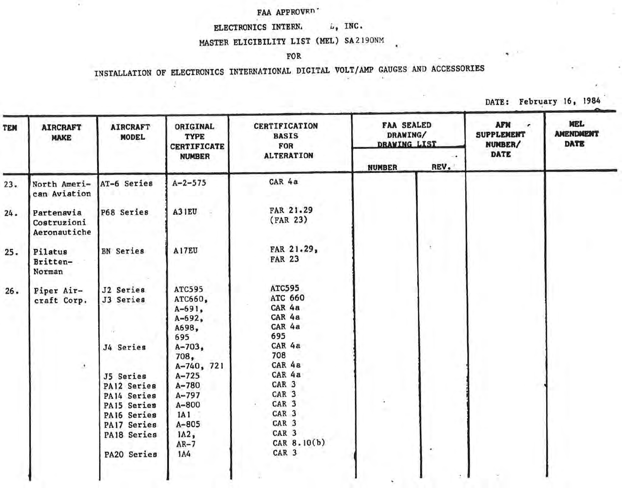# FAA APPROVED<sup>-</sup>

 $\epsilon$ 

# ELECTRONICS INTERN.  $L_{\phi}$  INC.

# MASTER ELIGIBILITY LIST (MEt) SA2190NM

#### FOR

# INSTALLATION OF ELECTRONICS INTERNATIONAL DIGITAL VOLT/AMP GAUGES AND ACCESSORIES

DATE: February 16, 1984

| TEM | <b>AIRCRAFT</b><br><b>MAKE</b>            | <b>AIRCRAFT</b><br><b>MODEL</b>                                                                                                            | <b>ORIGINAL</b><br><b>TYPE</b><br><b>CERTIFICATE</b><br><b>NUMBER</b>                                                                                                                                  | CERTIFICATION<br><b>BASIS</b><br>FOR<br><b>ALTERATION</b>                                                                                                                                                                                 | <b>FAA SEALED</b><br>DRAWING/<br>DRAWING LIST |      | <b>AFN</b><br>$\cdot$<br><b>SUPPLEMENT</b><br>NUMBER/<br>DATE | <b>MEL</b><br><b>AMENDMENT</b><br><b>DATE</b> |
|-----|-------------------------------------------|--------------------------------------------------------------------------------------------------------------------------------------------|--------------------------------------------------------------------------------------------------------------------------------------------------------------------------------------------------------|-------------------------------------------------------------------------------------------------------------------------------------------------------------------------------------------------------------------------------------------|-----------------------------------------------|------|---------------------------------------------------------------|-----------------------------------------------|
|     |                                           |                                                                                                                                            |                                                                                                                                                                                                        |                                                                                                                                                                                                                                           | <b>NUMBER</b>                                 | REV. |                                                               |                                               |
| 23. | North Ameri-<br>can Aviation              | AT-6 Series                                                                                                                                | $A - 2 - 575$                                                                                                                                                                                          | CAR 4a                                                                                                                                                                                                                                    |                                               |      |                                                               |                                               |
| 24. | Partenavia<br>Costruzioni<br>Aeronautiche | P68 Series                                                                                                                                 | A31EU                                                                                                                                                                                                  | FAR 21.29<br>(FAR 23)                                                                                                                                                                                                                     |                                               |      |                                                               |                                               |
| 25. | Pilatus<br>Britten-<br>Norman             | <b>BN</b> Series                                                                                                                           | A17EU                                                                                                                                                                                                  | FAR 21.29,<br><b>FAR 23</b>                                                                                                                                                                                                               |                                               | ť    |                                                               |                                               |
| 26. | Piper Air-<br>craft Corp.<br>$\bullet$    | J2 Series<br>J3 Series<br>J4 Series<br>J5 Series<br>PA12 Series<br>PA14 Series<br>PA15 Series<br>PA16 Series<br>PA17 Series<br>PA18 Series | <b>ATC595</b><br>ATC660,<br>$A - 691$ ,<br>$A - 692$ ,<br>A698,<br>695<br>$A - 703$<br>708,<br>A-740, 721<br>$A - 725$<br>$A - 780$<br>$A - 797$<br>$A - 800$<br>1A1<br>$A - 805$<br>$IA2$ ,<br>$AR-7$ | <b>ATC595</b><br>ATC 660<br>CAR 4a<br>CAR 4a<br>CAR 4a<br>695<br>CAR 4a<br>708<br>CAR 4a<br>CAR 4a<br>CAR <sub>3</sub><br>CAR <sub>3</sub><br>CAR <sub>3</sub><br>CAR <sub>3</sub><br>CAR <sub>3</sub><br>CAR <sub>3</sub><br>CAR 8.10(b) | à.                                            |      |                                                               |                                               |
|     |                                           | PA20 Series                                                                                                                                | 1A4                                                                                                                                                                                                    | CAR <sub>3</sub>                                                                                                                                                                                                                          |                                               | ۰    |                                                               |                                               |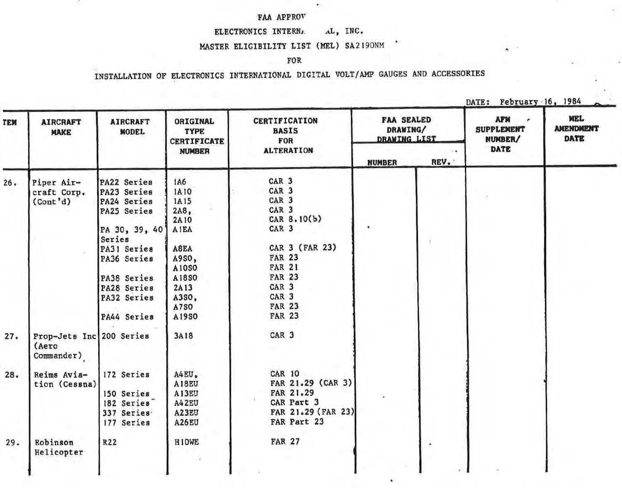w

#### ELECTRONICS INTERNA AL, INC.

# MASTER ELIGIBILITY LIST (MEL) SA2190NM

 $\sim$ 

×.

#### FOR

| EM  | <b>AIRCRAFT</b><br><b>MAKE</b>                  | <b>AIRCRAFT</b><br><b>MODEL</b>                                                                                                                                               | ORIGINAL<br><b>TYPE</b><br><b>CERTIFICATE</b>                                                                                     | <b>CERTIFICATION</b><br><b>BASIS</b><br>FOR                                                                                                                                                                                                                    | <b>FAA SEALED</b><br>DRAWING/<br><b>DRAWING LIST</b> |      | <b>AFM</b><br>٠<br><b>SUPPLEMENT</b><br>NUMBER/ | <b>MEL</b><br><b>AMENDMENT</b><br><b>DATE</b> |
|-----|-------------------------------------------------|-------------------------------------------------------------------------------------------------------------------------------------------------------------------------------|-----------------------------------------------------------------------------------------------------------------------------------|----------------------------------------------------------------------------------------------------------------------------------------------------------------------------------------------------------------------------------------------------------------|------------------------------------------------------|------|-------------------------------------------------|-----------------------------------------------|
|     |                                                 |                                                                                                                                                                               | <b>NUMBER</b>                                                                                                                     | <b>ALTERATION</b>                                                                                                                                                                                                                                              | <b>NUMBER</b>                                        | REV. | DATE                                            |                                               |
| 26. | Piper Air-<br>craft Corp.<br>(Cont 'd)          | PA22 Series<br>PA23 Series<br>PA24 Series<br>PA25 Series<br>PA 30, 39, 40<br>Series<br>PA31 Series<br>PA36 Series<br>PA38 Series<br>PA28 Series<br>PA32 Series<br>PA44 Series | 1A6<br>1A10<br>1A15<br>$2A8$ ,<br>2A10<br><b>AIEA</b><br>A8EA<br>A9SO,<br>A10S0<br>A1850<br>2A13<br>A3S0,<br><b>A7SO</b><br>A19SO | CAR <sub>3</sub><br>CAR <sub>3</sub><br>CAR <sub>3</sub><br>CAR <sub>3</sub><br>CAR 8.10(b)<br>CAR <sub>3</sub><br>CAR 3 (FAR 23)<br><b>FAR 23</b><br><b>FAR 21</b><br><b>FAR 23</b><br>CAR <sub>3</sub><br>CAR <sub>3</sub><br><b>FAR 23</b><br><b>FAR 23</b> |                                                      |      |                                                 |                                               |
| 27. | Prop-Jets Inc 200 Series<br>(Aero<br>Commander) |                                                                                                                                                                               | 3A18                                                                                                                              | CAR <sub>3</sub>                                                                                                                                                                                                                                               |                                                      |      |                                                 |                                               |
| 28. | Reims Avia-<br>tion (Cessna)                    | 172 Series<br>150 Series<br>182 Series<br>337 Series<br>177 Series                                                                                                            | A4EU,<br>A18EU<br>A13EU<br>A42EU<br>A23EU<br>A26EU                                                                                | <b>CAR 10</b><br>FAR 21.29 (CAR 3)<br>FAR 21.29<br>CAR Part 3<br>FAR 21.29 (FAR 23)<br>FAR Part 23                                                                                                                                                             |                                                      |      |                                                 |                                               |
| 29. | Robinson<br>Helicopter                          | R22                                                                                                                                                                           | H10WE                                                                                                                             | <b>FAR 27</b>                                                                                                                                                                                                                                                  |                                                      |      |                                                 |                                               |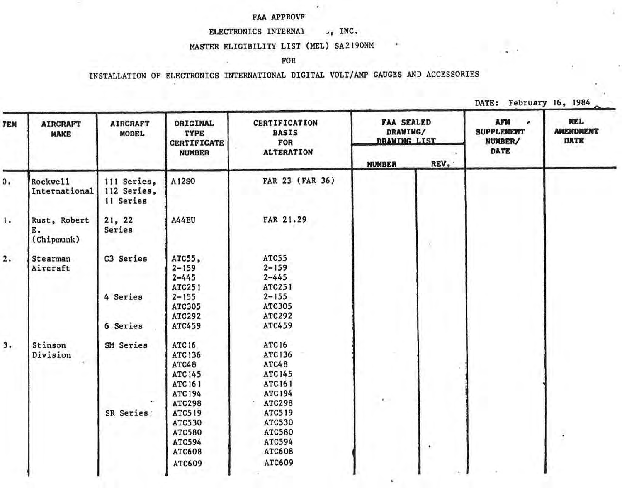#### FAA APPROVF'

=

#### ELECTRONICS INTERNAL J, INC.

 $\epsilon$ 

#### MASTER ELIGIBILITY LIST (MEL) SA2190NM

#### FOR

# INSTALLATION OF ELECTRONICS INTERNATIONAL DIGITAL VOLT/AMP GAUGES AND ACCESSORIES

DATE: February 16, 1984

×.

Y)

| TEM | <b>AIRCRAFT</b><br><b>MAKE</b>   | <b>AIRCRAFT</b><br><b>MODEL</b>         | ORIGINAL<br><b>TYPE</b><br><b>CERTIFICATE</b>                                       | CERTIFICATION<br><b>BASIS</b><br><b>FOR</b>                                         | <b>FAA SEALED</b><br>DRAWING/<br><b>DRAWING LIST</b> |                      | <b>AFM</b><br><b>SUPPLEMENT</b><br>NUMBER/ | MEL<br><b>AMENDMENT</b><br><b>DATE</b> |
|-----|----------------------------------|-----------------------------------------|-------------------------------------------------------------------------------------|-------------------------------------------------------------------------------------|------------------------------------------------------|----------------------|--------------------------------------------|----------------------------------------|
|     |                                  |                                         | <b>NUMBER</b>                                                                       | <b>ALTERATION</b>                                                                   | <b>NUMBER</b>                                        | REV.                 | <b>DATE</b>                                |                                        |
| 0.  | Rockwe11<br>International        | 111 Series,<br>112 Series,<br>11 Series | A12SO                                                                               | FAR 23 (FAR 36)                                                                     |                                                      |                      |                                            |                                        |
| 1.  | Rust, Robert<br>Ε.<br>(Chipmunk) | 21, 22<br>Series                        | A44EU                                                                               | FAR 21.29                                                                           |                                                      |                      |                                            |                                        |
| 2.  | Stearman<br>Aircraft             | C3 Series                               | $ATC55$ ,<br>$2 - 159$<br>$2 - 445$<br><b>ATC251</b>                                | ATC55<br>$2 - 159$<br>$2 - 445$<br>ATC251                                           |                                                      |                      |                                            |                                        |
|     |                                  | 4 Series                                | $2 - 155$<br>ATC305<br><b>ATC292</b>                                                | $2 - 155$<br><b>ATC305</b><br><b>ATC292</b>                                         |                                                      |                      |                                            |                                        |
|     |                                  | 6 Series                                | ATC459                                                                              | ATC459                                                                              |                                                      |                      |                                            |                                        |
| 3.  | Stinson<br>Division              | SM Series                               | <b>ATC16</b><br>ATC136<br>ATC48<br><b>ATC145</b><br><b>ATC 161</b><br><b>ATC194</b> | <b>ATC16</b><br><b>ATC136</b><br>ATC48<br><b>ATC145</b><br>ATC 161<br><b>ATC194</b> |                                                      |                      |                                            |                                        |
|     |                                  | SR Series:                              | <b>ATC298</b><br><b>ATC519</b><br><b>ATC530</b><br>ATC580<br>ATC594<br>ATC608       | <b>ATC298</b><br><b>ATC519</b><br>ATC530<br>ATC580<br><b>ATC594</b><br>ATC608       |                                                      | $\ddot{\phantom{1}}$ |                                            |                                        |
|     |                                  |                                         | ATC609                                                                              | ATC609                                                                              |                                                      |                      |                                            |                                        |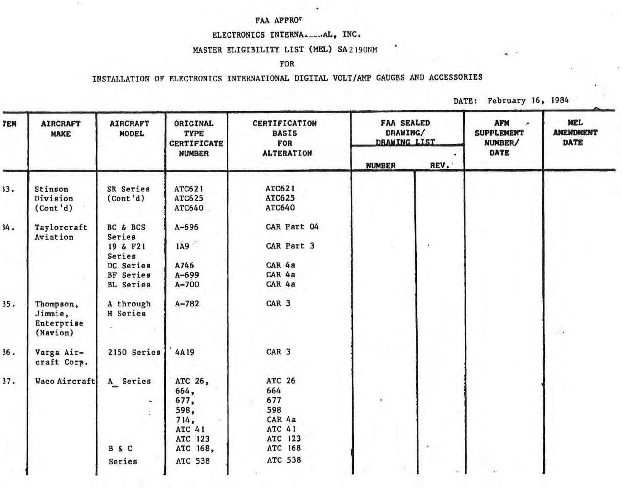#### FAA APPRO"

 $\mathbb{R}^n$ 

#### ELECTRONICS INTERNA......AL, INC.

**Service State** 

#### MASTER ELIGIBILITY LIST(MEL) SA2190NM

#### FOR

| <b>DATE:</b> | February 16, 1984 |  |  |
|--------------|-------------------|--|--|
|--------------|-------------------|--|--|

| TEM | <b>AIRCRAFT</b><br><b>MAKE</b>                 | <b>AIRCRAFT</b><br><b>MODEL</b>                                                               | ORIGINAL<br><b>TYPE</b><br><b>CERTIFICATE</b>                            | <b>CERTIFICATION</b><br><b>BASIS</b><br>FOR                                  | <b>FAA SEALED</b><br>DRAWING/<br><b>DRAWING LIST</b> |               | <b>AFM</b><br>$\overline{r}$<br><b>SUPPLEMENT</b><br>NUMBER/<br><b>DATE</b> | MEL<br><b>AMENDMENT</b><br><b>DATE</b> |
|-----|------------------------------------------------|-----------------------------------------------------------------------------------------------|--------------------------------------------------------------------------|------------------------------------------------------------------------------|------------------------------------------------------|---------------|-----------------------------------------------------------------------------|----------------------------------------|
|     |                                                |                                                                                               | <b>NUMBER</b>                                                            | <b>ALTERATION</b>                                                            | <b>NUMBER</b>                                        | REV.          |                                                                             |                                        |
| 33. | Stinson<br>Division<br>(Cont 'd)               | <b>SR</b> Series<br>(Cont 'd)                                                                 | ATC621<br>ATC625<br>ATC640                                               | ATC621<br><b>ATC625</b><br>ATC640                                            |                                                      |               |                                                                             |                                        |
| 34. | Taylorcraft<br>Aviation                        | BC & BCS<br>Series<br>19 & F21<br>Series<br>DC Series<br><b>BF</b> Series<br><b>BL</b> Series | $A - 696$<br>IA9<br>A746<br>$A - 699$<br>$A - 700$                       | CAR Part 04<br>CAR Part 3<br>CAR 4a<br>CAR 4a<br>CAR 4a                      |                                                      | $\mathcal{L}$ |                                                                             |                                        |
| 35. | Thompson,<br>Jimmie,<br>Enterprise<br>(Navion) | A through<br>H Series                                                                         | $A - 782$                                                                | CAR <sub>3</sub>                                                             |                                                      |               |                                                                             | $\frac{1}{2}$                          |
| 36. | Varga Air-<br>craft Corp.                      | 2150 Series                                                                                   | 4A19                                                                     | CAR <sub>3</sub>                                                             |                                                      |               |                                                                             |                                        |
| 37. | Waco Aircraft                                  | A Series<br>$\bullet$<br>B&C                                                                  | ATC 26,<br>664,<br>677,<br>598,<br>714,<br>ATC 41<br>ATC 123<br>ATC 168, | ATC 26<br>664<br>677<br>598<br>CAR 4a<br><b>ATC 41</b><br>ATC 123<br>ATC 168 | $\cdot$                                              | la.           |                                                                             |                                        |
|     |                                                | Series                                                                                        | ATC 538                                                                  | <b>ATC 538</b>                                                               |                                                      |               |                                                                             |                                        |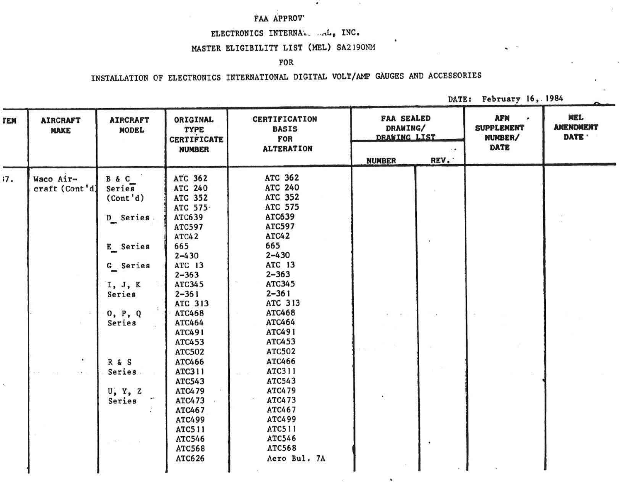## FAA APPROV'

# ELECTRONICS INTERNAL. .....L., INC.

 $\bullet$ 

 $\mathcal{L}_{\mathcal{L}}$ 

٠

 $\bullet$ 

### MASTER ELIGIBILITY LIST (MEL) SA2190NM

#### FOR

# INSTALLATION OF ELECTRONICS INTERNATIONAL DIGITAL VOLT/AMP GAUGES AND ACCESSORIES

DATE: February 16, 1984

 $\bullet$  .

S.

| ГЕМ | <b>AIRCRAFT</b><br><b>MAKE</b> | <b>AIRCRAFT</b><br><b>MODEL</b>                                                       | ORIGINAL<br><b>TYPE</b><br><b>CERTIFICATE</b>                                                                                                          | <b>CERTIFICATION</b><br><b>BASIS</b><br>FOR                                                                                                           | <b>FAA SEALED</b><br>DRAWING/<br><b>DRAWING LIST</b> |      | <b>AFM</b><br><b>SUPPLEMENT</b><br>NUMBER/ | MEL<br><b>AMENDMENT</b><br>DATE ' |
|-----|--------------------------------|---------------------------------------------------------------------------------------|--------------------------------------------------------------------------------------------------------------------------------------------------------|-------------------------------------------------------------------------------------------------------------------------------------------------------|------------------------------------------------------|------|--------------------------------------------|-----------------------------------|
|     |                                |                                                                                       | <b>NUMBER</b>                                                                                                                                          | <b>ALTERATION</b>                                                                                                                                     | <b>NUMBER</b>                                        | REV. | <b>DATE</b>                                |                                   |
| 17. | Waco Air-<br>craft (Cont'd)    | B & C<br>Series<br>(Cont'd)<br>D Series<br>E Series<br>G_ Series<br>I, J, K<br>Series | ATC 362<br>ATC 240<br>ATC 352<br>ATC 575.<br>ATC639<br>ATC597<br><b>ATC42</b><br>665<br>$2 - 430$<br>ATC 13<br>$2 - 363$<br><b>ATC345</b><br>$2 - 361$ | ATC 362<br><b>ATC 240</b><br>ATC 352<br><b>ATC 575</b><br>ATC639<br>ATC597<br>ATC42<br>665<br>$2 - 430$<br>ATC 13<br>$2 - 363$<br>ATC345<br>$2 - 361$ |                                                      |      |                                            |                                   |
| s.  | $\bullet$<br>$\sim$            | 0, P, Q<br>Series<br>R & S<br>Series.<br>U, Y, Z<br>Series                            | ATC 313<br>ATC468<br>ATC464<br>ATC491<br>ATC453<br>ATC502<br>ATC466<br>ATC311<br>ATC543<br>ATC479<br>ATC473<br>ATC467<br>ATC499                        | ATC 313<br>ATC468<br>ATC464<br>ATC491<br>ATC453<br>ATC502<br>ATC466<br>ATC311<br>ATC543<br>ATC479<br>ATC473<br>ATC467<br>ATC499                       |                                                      |      |                                            |                                   |
|     |                                |                                                                                       | <b>ATC511</b><br>ATC546<br>ATC568<br>ATC626                                                                                                            | ATC511<br>ATC546<br>ATC568<br>Aero Bul. 7A                                                                                                            |                                                      |      |                                            |                                   |